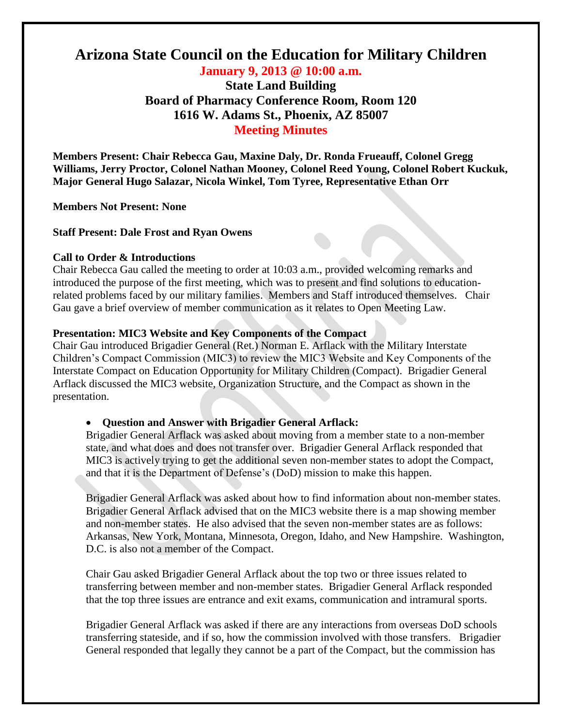# **Arizona State Council on the Education for Military Children**

**January 9, 2013 @ 10:00 a.m. State Land Building Board of Pharmacy Conference Room, Room 120 1616 W. Adams St., Phoenix, AZ 85007 Meeting Minutes**

**Members Present: Chair Rebecca Gau, Maxine Daly, Dr. Ronda Frueauff, Colonel Gregg Williams, Jerry Proctor, Colonel Nathan Mooney, Colonel Reed Young, Colonel Robert Kuckuk, Major General Hugo Salazar, Nicola Winkel, Tom Tyree, Representative Ethan Orr**

**Members Not Present: None**

**Staff Present: Dale Frost and Ryan Owens**

#### **Call to Order & Introductions**

Chair Rebecca Gau called the meeting to order at 10:03 a.m., provided welcoming remarks and introduced the purpose of the first meeting, which was to present and find solutions to educationrelated problems faced by our military families. Members and Staff introduced themselves. Chair Gau gave a brief overview of member communication as it relates to Open Meeting Law.

## **Presentation: MIC3 Website and Key Components of the Compact**

Chair Gau introduced Brigadier General (Ret.) Norman E. Arflack with the Military Interstate Children's Compact Commission (MIC3) to review the MIC3 Website and Key Components of the Interstate Compact on Education Opportunity for Military Children (Compact). Brigadier General Arflack discussed the MIC3 website, Organization Structure, and the Compact as shown in the presentation.

## **Question and Answer with Brigadier General Arflack:**

Brigadier General Arflack was asked about moving from a member state to a non-member state, and what does and does not transfer over. Brigadier General Arflack responded that MIC3 is actively trying to get the additional seven non-member states to adopt the Compact, and that it is the Department of Defense's (DoD) mission to make this happen.

Brigadier General Arflack was asked about how to find information about non-member states. Brigadier General Arflack advised that on the MIC3 website there is a map showing member and non-member states. He also advised that the seven non-member states are as follows: Arkansas, New York, Montana, Minnesota, Oregon, Idaho, and New Hampshire. Washington, D.C. is also not a member of the Compact.

Chair Gau asked Brigadier General Arflack about the top two or three issues related to transferring between member and non-member states. Brigadier General Arflack responded that the top three issues are entrance and exit exams, communication and intramural sports.

Brigadier General Arflack was asked if there are any interactions from overseas DoD schools transferring stateside, and if so, how the commission involved with those transfers. Brigadier General responded that legally they cannot be a part of the Compact, but the commission has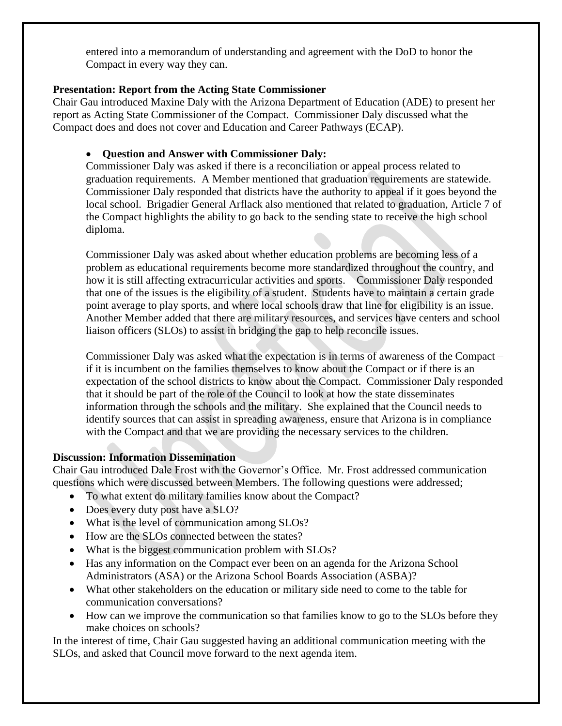entered into a memorandum of understanding and agreement with the DoD to honor the Compact in every way they can.

# **Presentation: Report from the Acting State Commissioner**

Chair Gau introduced Maxine Daly with the Arizona Department of Education (ADE) to present her report as Acting State Commissioner of the Compact. Commissioner Daly discussed what the Compact does and does not cover and Education and Career Pathways (ECAP).

## **Question and Answer with Commissioner Daly:**

Commissioner Daly was asked if there is a reconciliation or appeal process related to graduation requirements. A Member mentioned that graduation requirements are statewide. Commissioner Daly responded that districts have the authority to appeal if it goes beyond the local school. Brigadier General Arflack also mentioned that related to graduation, Article 7 of the Compact highlights the ability to go back to the sending state to receive the high school diploma.

Commissioner Daly was asked about whether education problems are becoming less of a problem as educational requirements become more standardized throughout the country, and how it is still affecting extracurricular activities and sports. Commissioner Daly responded that one of the issues is the eligibility of a student. Students have to maintain a certain grade point average to play sports, and where local schools draw that line for eligibility is an issue. Another Member added that there are military resources, and services have centers and school liaison officers (SLOs) to assist in bridging the gap to help reconcile issues.

Commissioner Daly was asked what the expectation is in terms of awareness of the Compact – if it is incumbent on the families themselves to know about the Compact or if there is an expectation of the school districts to know about the Compact. Commissioner Daly responded that it should be part of the role of the Council to look at how the state disseminates information through the schools and the military. She explained that the Council needs to identify sources that can assist in spreading awareness, ensure that Arizona is in compliance with the Compact and that we are providing the necessary services to the children.

# **Discussion: Information Dissemination**

Chair Gau introduced Dale Frost with the Governor's Office. Mr. Frost addressed communication questions which were discussed between Members. The following questions were addressed;

- To what extent do military families know about the Compact?
- Does every duty post have a SLO?
- What is the level of communication among SLOs?
- How are the SLOs connected between the states?
- What is the biggest communication problem with SLOs?
- Has any information on the Compact ever been on an agenda for the Arizona School Administrators (ASA) or the Arizona School Boards Association (ASBA)?
- What other stakeholders on the education or military side need to come to the table for communication conversations?
- How can we improve the communication so that families know to go to the SLOs before they make choices on schools?

In the interest of time, Chair Gau suggested having an additional communication meeting with the SLOs, and asked that Council move forward to the next agenda item.